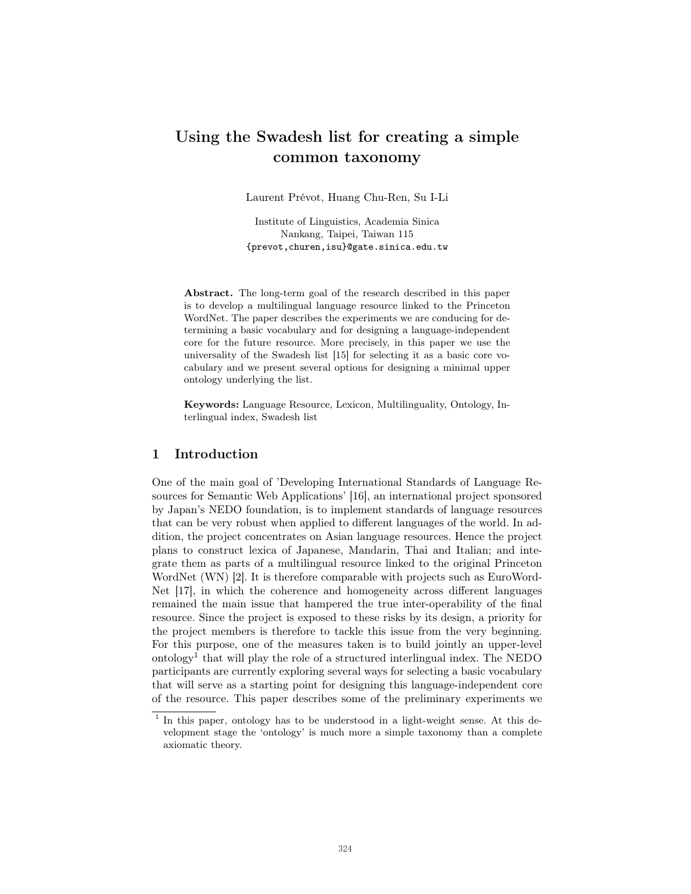# Using the Swadesh list for creating a simple common taxonomy

Laurent Prévot, Huang Chu-Ren, Su I-Li

Institute of Linguistics, Academia Sinica Nankang, Taipei, Taiwan 115 {prevot,churen,isu}@gate.sinica.edu.tw

Abstract. The long-term goal of the research described in this paper is to develop a multilingual language resource linked to the Princeton WordNet. The paper describes the experiments we are conducing for determining a basic vocabulary and for designing a language-independent core for the future resource. More precisely, in this paper we use the universality of the Swadesh list [15] for selecting it as a basic core vocabulary and we present several options for designing a minimal upper ontology underlying the list.

Keywords: Language Resource, Lexicon, Multilinguality, Ontology, Interlingual index, Swadesh list

## 1 Introduction

One of the main goal of 'Developing International Standards of Language Resources for Semantic Web Applications' [16], an international project sponsored by Japan's NEDO foundation, is to implement standards of language resources that can be very robust when applied to different languages of the world. In addition, the project concentrates on Asian language resources. Hence the project plans to construct lexica of Japanese, Mandarin, Thai and Italian; and integrate them as parts of a multilingual resource linked to the original Princeton WordNet (WN) [2]. It is therefore comparable with projects such as EuroWord-Net [17], in which the coherence and homogeneity across different languages remained the main issue that hampered the true inter-operability of the final resource. Since the project is exposed to these risks by its design, a priority for the project members is therefore to tackle this issue from the very beginning. For this purpose, one of the measures taken is to build jointly an upper-level ontology<sup>1</sup> that will play the role of a structured interlingual index. The NEDO participants are currently exploring several ways for selecting a basic vocabulary that will serve as a starting point for designing this language-independent core of the resource. This paper describes some of the preliminary experiments we

<sup>&</sup>lt;sup>1</sup> In this paper, ontology has to be understood in a light-weight sense. At this development stage the 'ontology' is much more a simple taxonomy than a complete axiomatic theory.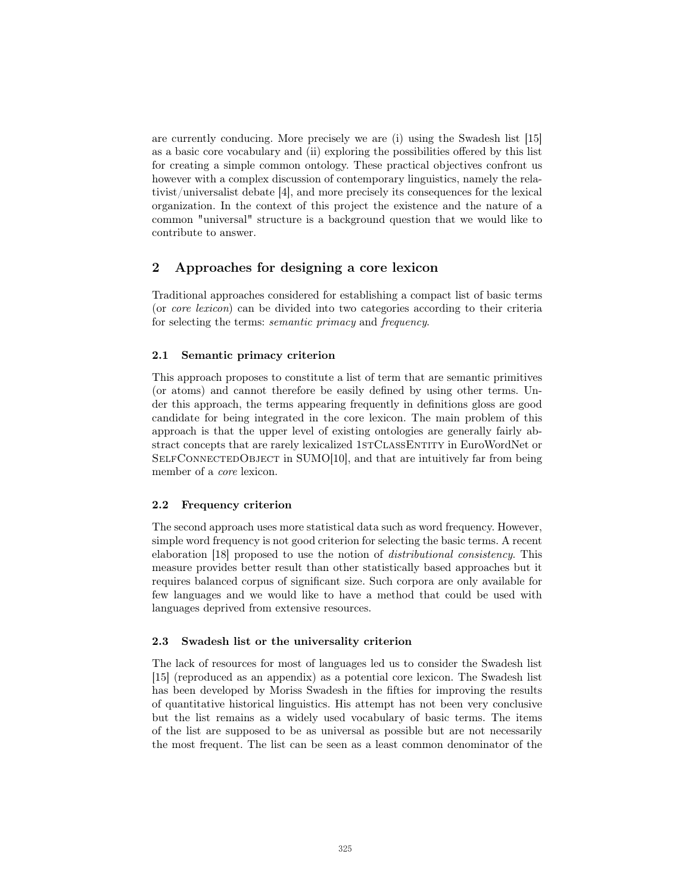are currently conducing. More precisely we are (i) using the Swadesh list [15] as a basic core vocabulary and (ii) exploring the possibilities offered by this list for creating a simple common ontology. These practical objectives confront us however with a complex discussion of contemporary linguistics, namely the relativist/universalist debate [4], and more precisely its consequences for the lexical organization. In the context of this project the existence and the nature of a common "universal" structure is a background question that we would like to contribute to answer.

# 2 Approaches for designing a core lexicon

Traditional approaches considered for establishing a compact list of basic terms (or core lexicon) can be divided into two categories according to their criteria for selecting the terms: semantic primacy and frequency.

## 2.1 Semantic primacy criterion

This approach proposes to constitute a list of term that are semantic primitives (or atoms) and cannot therefore be easily defined by using other terms. Under this approach, the terms appearing frequently in definitions gloss are good candidate for being integrated in the core lexicon. The main problem of this approach is that the upper level of existing ontologies are generally fairly abstract concepts that are rarely lexicalized 1STCLASSENTITY in EuroWordNet or SELFCONNECTEDOBJECT in SUMO[10], and that are intuitively far from being member of a core lexicon.

## 2.2 Frequency criterion

The second approach uses more statistical data such as word frequency. However, simple word frequency is not good criterion for selecting the basic terms. A recent elaboration [18] proposed to use the notion of distributional consistency. This measure provides better result than other statistically based approaches but it requires balanced corpus of significant size. Such corpora are only available for few languages and we would like to have a method that could be used with languages deprived from extensive resources.

## 2.3 Swadesh list or the universality criterion

The lack of resources for most of languages led us to consider the Swadesh list [15] (reproduced as an appendix) as a potential core lexicon. The Swadesh list has been developed by Moriss Swadesh in the fifties for improving the results of quantitative historical linguistics. His attempt has not been very conclusive but the list remains as a widely used vocabulary of basic terms. The items of the list are supposed to be as universal as possible but are not necessarily the most frequent. The list can be seen as a least common denominator of the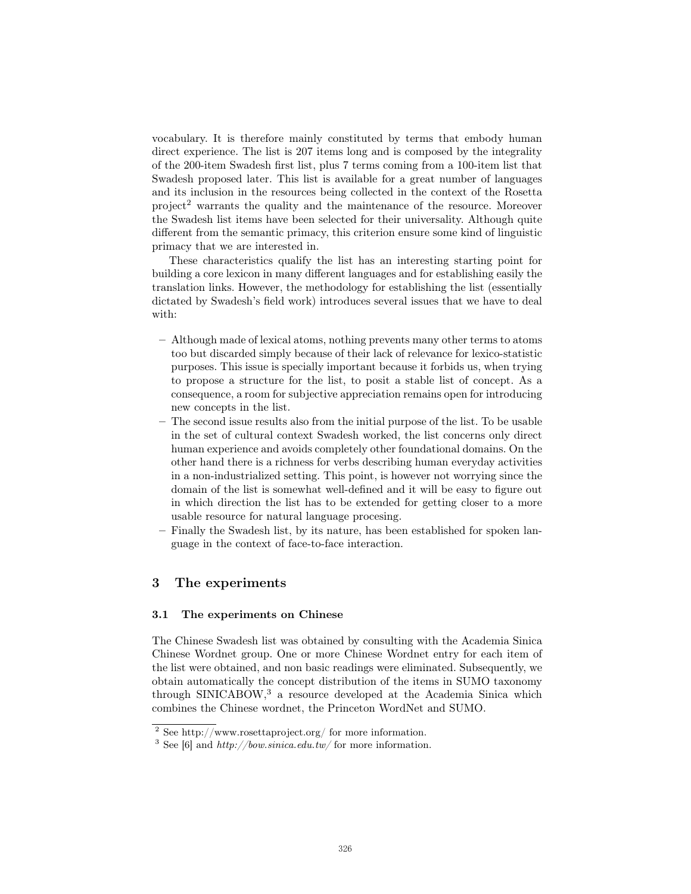vocabulary. It is therefore mainly constituted by terms that embody human direct experience. The list is 207 items long and is composed by the integrality of the 200-item Swadesh first list, plus 7 terms coming from a 100-item list that Swadesh proposed later. This list is available for a great number of languages and its inclusion in the resources being collected in the context of the Rosetta project<sup>2</sup> warrants the quality and the maintenance of the resource. Moreover the Swadesh list items have been selected for their universality. Although quite different from the semantic primacy, this criterion ensure some kind of linguistic primacy that we are interested in.

These characteristics qualify the list has an interesting starting point for building a core lexicon in many different languages and for establishing easily the translation links. However, the methodology for establishing the list (essentially dictated by Swadesh's field work) introduces several issues that we have to deal with:

- Although made of lexical atoms, nothing prevents many other terms to atoms too but discarded simply because of their lack of relevance for lexico-statistic purposes. This issue is specially important because it forbids us, when trying to propose a structure for the list, to posit a stable list of concept. As a consequence, a room for subjective appreciation remains open for introducing new concepts in the list.
- The second issue results also from the initial purpose of the list. To be usable in the set of cultural context Swadesh worked, the list concerns only direct human experience and avoids completely other foundational domains. On the other hand there is a richness for verbs describing human everyday activities in a non-industrialized setting. This point, is however not worrying since the domain of the list is somewhat well-defined and it will be easy to figure out in which direction the list has to be extended for getting closer to a more usable resource for natural language procesing.
- Finally the Swadesh list, by its nature, has been established for spoken language in the context of face-to-face interaction.

## 3 The experiments

#### 3.1 The experiments on Chinese

The Chinese Swadesh list was obtained by consulting with the Academia Sinica Chinese Wordnet group. One or more Chinese Wordnet entry for each item of the list were obtained, and non basic readings were eliminated. Subsequently, we obtain automatically the concept distribution of the items in SUMO taxonomy through SINICABOW,<sup>3</sup> a resource developed at the Academia Sinica which combines the Chinese wordnet, the Princeton WordNet and SUMO.

<sup>2</sup> See http://www.rosettaproject.org/ for more information.

<sup>&</sup>lt;sup>3</sup> See [6] and *http://bow.sinica.edu.tw/* for more information.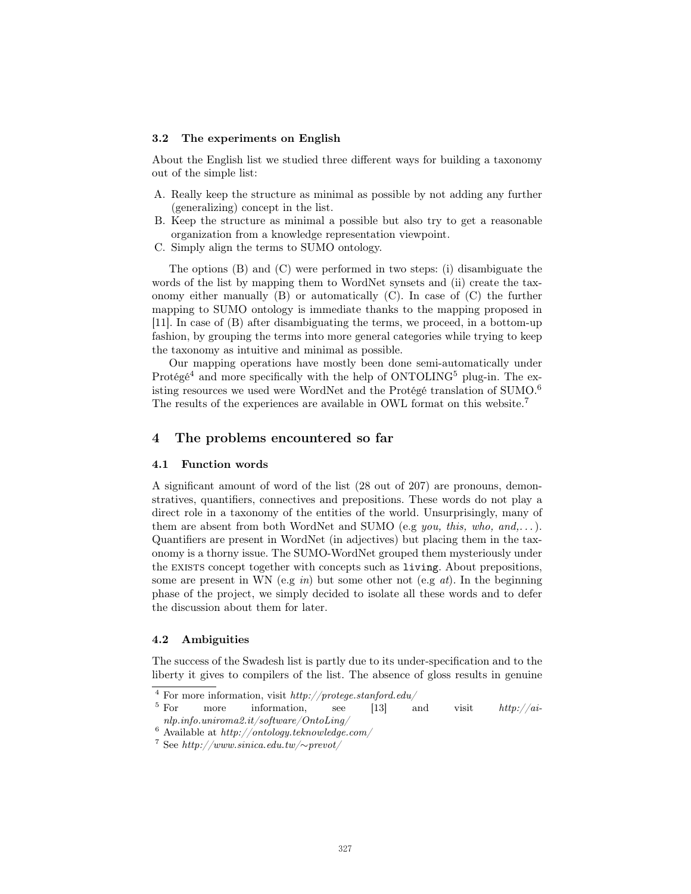#### 3.2 The experiments on English

About the English list we studied three different ways for building a taxonomy out of the simple list:

- A. Really keep the structure as minimal as possible by not adding any further (generalizing) concept in the list.
- B. Keep the structure as minimal a possible but also try to get a reasonable organization from a knowledge representation viewpoint.
- C. Simply align the terms to SUMO ontology.

The options (B) and (C) were performed in two steps: (i) disambiguate the words of the list by mapping them to WordNet synsets and (ii) create the taxonomy either manually (B) or automatically (C). In case of (C) the further mapping to SUMO ontology is immediate thanks to the mapping proposed in [11]. In case of (B) after disambiguating the terms, we proceed, in a bottom-up fashion, by grouping the terms into more general categories while trying to keep the taxonomy as intuitive and minimal as possible.

Our mapping operations have mostly been done semi-automatically under Protégé<sup>4</sup> and more specifically with the help of  $\rm ONTOLING^5$  plug-in. The existing resources we used were WordNet and the Protégé translation of SUMO.<sup>6</sup> The results of the experiences are available in OWL format on this website.<sup>7</sup>

## 4 The problems encountered so far

#### 4.1 Function words

A significant amount of word of the list (28 out of 207) are pronouns, demonstratives, quantifiers, connectives and prepositions. These words do not play a direct role in a taxonomy of the entities of the world. Unsurprisingly, many of them are absent from both WordNet and SUMO (e.g *you*, this, who, and,...). Quantifiers are present in WordNet (in adjectives) but placing them in the taxonomy is a thorny issue. The SUMO-WordNet grouped them mysteriously under the exists concept together with concepts such as living. About prepositions, some are present in WN (e.g in) but some other not (e.g at). In the beginning phase of the project, we simply decided to isolate all these words and to defer the discussion about them for later.

#### 4.2 Ambiguities

The success of the Swadesh list is partly due to its under-specification and to the liberty it gives to compilers of the list. The absence of gloss results in genuine

<sup>&</sup>lt;sup>4</sup> For more information, visit *http://protege.stanford.edu/*<br>
<sup>5</sup> For more information, see [13]

more information, see [13] and visit  $http://ai \label{eq:nonlinear} nlp.info.univoma2.it/software/OntoLing/$ 

 $^6$  Available at  $\it http://ontology.teknowledge.com/$ 

<sup>7</sup> See http://www.sinica.edu.tw/∼prevot/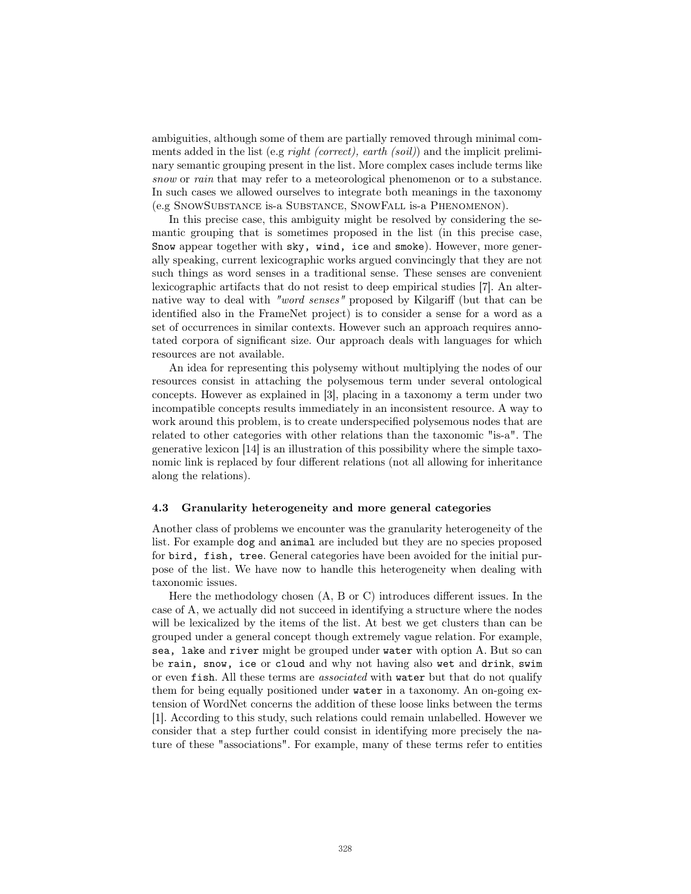ambiguities, although some of them are partially removed through minimal comments added in the list (e.g right (correct), earth (soil)) and the implicit preliminary semantic grouping present in the list. More complex cases include terms like snow or rain that may refer to a meteorological phenomenon or to a substance. In such cases we allowed ourselves to integrate both meanings in the taxonomy (e.g SnowSubstance is-a Substance, SnowFall is-a Phenomenon).

In this precise case, this ambiguity might be resolved by considering the semantic grouping that is sometimes proposed in the list (in this precise case, Snow appear together with sky, wind, ice and smoke). However, more generally speaking, current lexicographic works argued convincingly that they are not such things as word senses in a traditional sense. These senses are convenient lexicographic artifacts that do not resist to deep empirical studies [7]. An alternative way to deal with "word senses" proposed by Kilgariff (but that can be identified also in the FrameNet project) is to consider a sense for a word as a set of occurrences in similar contexts. However such an approach requires annotated corpora of significant size. Our approach deals with languages for which resources are not available.

An idea for representing this polysemy without multiplying the nodes of our resources consist in attaching the polysemous term under several ontological concepts. However as explained in [3], placing in a taxonomy a term under two incompatible concepts results immediately in an inconsistent resource. A way to work around this problem, is to create underspecified polysemous nodes that are related to other categories with other relations than the taxonomic "is-a". The generative lexicon [14] is an illustration of this possibility where the simple taxonomic link is replaced by four different relations (not all allowing for inheritance along the relations).

#### 4.3 Granularity heterogeneity and more general categories

Another class of problems we encounter was the granularity heterogeneity of the list. For example dog and animal are included but they are no species proposed for bird, fish, tree. General categories have been avoided for the initial purpose of the list. We have now to handle this heterogeneity when dealing with taxonomic issues.

Here the methodology chosen (A, B or C) introduces different issues. In the case of A, we actually did not succeed in identifying a structure where the nodes will be lexicalized by the items of the list. At best we get clusters than can be grouped under a general concept though extremely vague relation. For example, sea, lake and river might be grouped under water with option A. But so can be rain, snow, ice or cloud and why not having also wet and drink, swim or even fish. All these terms are associated with water but that do not qualify them for being equally positioned under water in a taxonomy. An on-going extension of WordNet concerns the addition of these loose links between the terms [1]. According to this study, such relations could remain unlabelled. However we consider that a step further could consist in identifying more precisely the nature of these "associations". For example, many of these terms refer to entities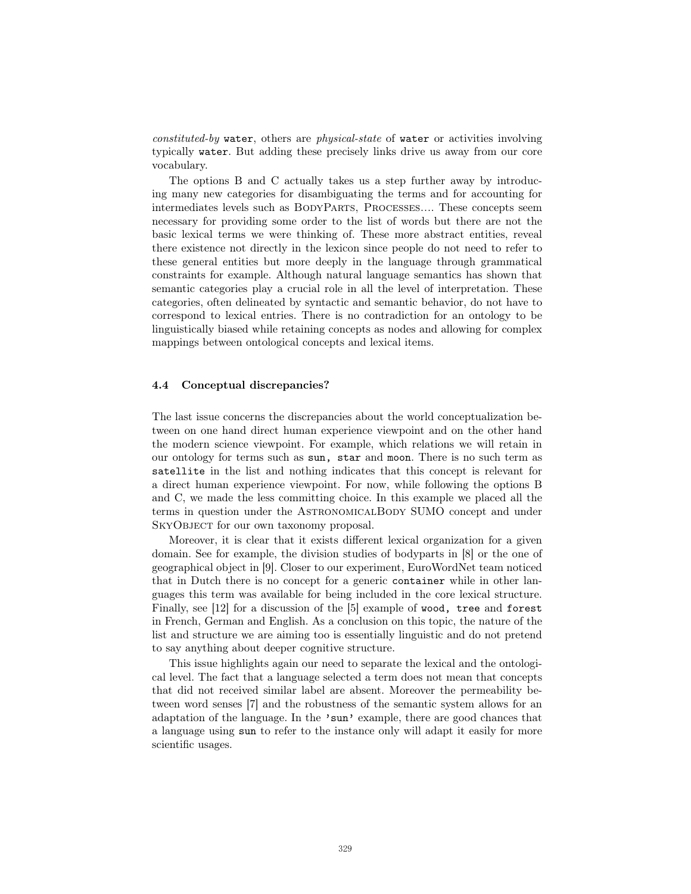constituted-by water, others are physical-state of water or activities involving typically water. But adding these precisely links drive us away from our core vocabulary.

The options B and C actually takes us a step further away by introducing many new categories for disambiguating the terms and for accounting for intermediates levels such as BodyParts, Processes.... These concepts seem necessary for providing some order to the list of words but there are not the basic lexical terms we were thinking of. These more abstract entities, reveal there existence not directly in the lexicon since people do not need to refer to these general entities but more deeply in the language through grammatical constraints for example. Although natural language semantics has shown that semantic categories play a crucial role in all the level of interpretation. These categories, often delineated by syntactic and semantic behavior, do not have to correspond to lexical entries. There is no contradiction for an ontology to be linguistically biased while retaining concepts as nodes and allowing for complex mappings between ontological concepts and lexical items.

#### 4.4 Conceptual discrepancies?

The last issue concerns the discrepancies about the world conceptualization between on one hand direct human experience viewpoint and on the other hand the modern science viewpoint. For example, which relations we will retain in our ontology for terms such as sun, star and moon. There is no such term as satellite in the list and nothing indicates that this concept is relevant for a direct human experience viewpoint. For now, while following the options B and C, we made the less committing choice. In this example we placed all the terms in question under the AstronomicalBody SUMO concept and under SKYOBJECT for our own taxonomy proposal.

Moreover, it is clear that it exists different lexical organization for a given domain. See for example, the division studies of bodyparts in [8] or the one of geographical object in [9]. Closer to our experiment, EuroWordNet team noticed that in Dutch there is no concept for a generic container while in other languages this term was available for being included in the core lexical structure. Finally, see [12] for a discussion of the [5] example of wood, tree and forest in French, German and English. As a conclusion on this topic, the nature of the list and structure we are aiming too is essentially linguistic and do not pretend to say anything about deeper cognitive structure.

This issue highlights again our need to separate the lexical and the ontological level. The fact that a language selected a term does not mean that concepts that did not received similar label are absent. Moreover the permeability between word senses [7] and the robustness of the semantic system allows for an adaptation of the language. In the 'sun' example, there are good chances that a language using sun to refer to the instance only will adapt it easily for more scientific usages.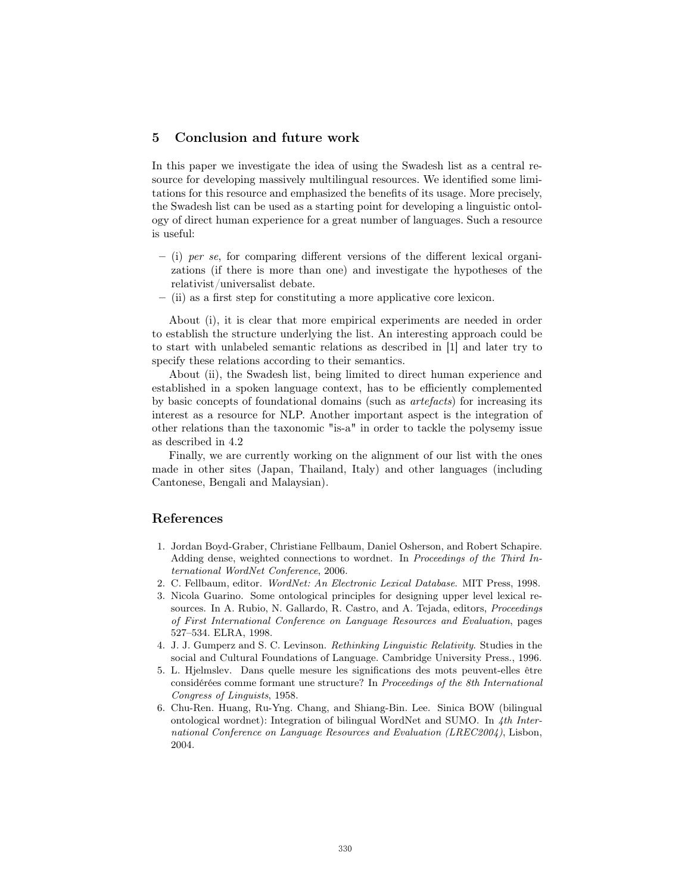# 5 Conclusion and future work

In this paper we investigate the idea of using the Swadesh list as a central resource for developing massively multilingual resources. We identified some limitations for this resource and emphasized the benefits of its usage. More precisely, the Swadesh list can be used as a starting point for developing a linguistic ontology of direct human experience for a great number of languages. Such a resource is useful:

- $-$  (i) per se, for comparing different versions of the different lexical organizations (if there is more than one) and investigate the hypotheses of the relativist/universalist debate.
- (ii) as a first step for constituting a more applicative core lexicon.

About (i), it is clear that more empirical experiments are needed in order to establish the structure underlying the list. An interesting approach could be to start with unlabeled semantic relations as described in [1] and later try to specify these relations according to their semantics.

About (ii), the Swadesh list, being limited to direct human experience and established in a spoken language context, has to be efficiently complemented by basic concepts of foundational domains (such as artefacts) for increasing its interest as a resource for NLP. Another important aspect is the integration of other relations than the taxonomic "is-a" in order to tackle the polysemy issue as described in 4.2

Finally, we are currently working on the alignment of our list with the ones made in other sites (Japan, Thailand, Italy) and other languages (including Cantonese, Bengali and Malaysian).

# References

- 1. Jordan Boyd-Graber, Christiane Fellbaum, Daniel Osherson, and Robert Schapire. Adding dense, weighted connections to wordnet. In Proceedings of the Third International WordNet Conference, 2006.
- 2. C. Fellbaum, editor. WordNet: An Electronic Lexical Database. MIT Press, 1998.
- 3. Nicola Guarino. Some ontological principles for designing upper level lexical resources. In A. Rubio, N. Gallardo, R. Castro, and A. Tejada, editors, Proceedings of First International Conference on Language Resources and Evaluation, pages 527–534. ELRA, 1998.
- 4. J. J. Gumperz and S. C. Levinson. Rethinking Linguistic Relativity. Studies in the social and Cultural Foundations of Language. Cambridge University Press., 1996.
- 5. L. Hjelmslev. Dans quelle mesure les significations des mots peuvent-elles être considérées comme formant une structure? In Proceedings of the 8th International Congress of Linguists, 1958.
- 6. Chu-Ren. Huang, Ru-Yng. Chang, and Shiang-Bin. Lee. Sinica BOW (bilingual ontological wordnet): Integration of bilingual WordNet and SUMO. In 4th International Conference on Language Resources and Evaluation (LREC2004), Lisbon, 2004.